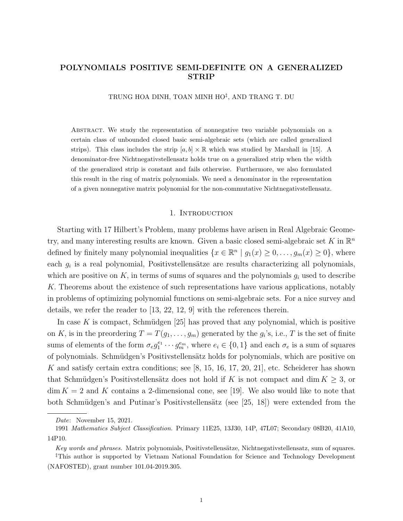# POLYNOMIALS POSITIVE SEMI-DEFINITE ON A GENERALIZED STRIP

TRUNG HOA DINH, TOAN MINH HO‡ , AND TRANG T. DU

Abstract. We study the representation of nonnegative two variable polynomials on a certain class of unbounded closed basic semi-algebraic sets (which are called generalized strips). This class includes the strip  $[a, b] \times \mathbb{R}$  which was studied by Marshall in [15]. A denominator-free Nichtnegativstellensatz holds true on a generalized strip when the width of the generalized strip is constant and fails otherwise. Furthermore, we also formulated this result in the ring of matrix polynomials. We need a denominator in the representation of a given nonnegative matrix polynomial for the non-commutative Nichtnegativstellensatz.

# 1. INTRODUCTION

Starting with 17 Hilbert's Problem, many problems have arisen in Real Algebraic Geometry, and many interesting results are known. Given a basic closed semi-algebraic set K in  $\mathbb{R}^n$ defined by finitely many polynomial inequalities  $\{x \in \mathbb{R}^n \mid g_1(x) \geq 0, \ldots, g_m(x) \geq 0\}$ , where each  $g_i$  is a real polynomial, Positivstellensätze are results characterizing all polynomials, which are positive on  $K$ , in terms of sums of squares and the polynomials  $g_i$  used to describe K. Theorems about the existence of such representations have various applications, notably in problems of optimizing polynomial functions on semi-algebraic sets. For a nice survey and details, we refer the reader to  $[13, 22, 12, 9]$  with the references therein.

In case K is compact, Schmüdgen  $[25]$  has proved that any polynomial, which is positive on K, is in the preordering  $T = T(g_1, \ldots, g_m)$  generated by the  $g_i$ 's, i.e., T is the set of finite sums of elements of the form  $\sigma_e g_1^{e_1} \cdots g_m^{e_m}$ , where  $e_i \in \{0,1\}$  and each  $\sigma_e$  is a sum of squares of polynomials. Schmüdgen's Positivstellensätz holds for polynomials, which are positive on K and satisfy certain extra conditions; see [8, 15, 16, 17, 20, 21], etc. Scheiderer has shown that Schmüdgen's Positivstellensätz does not hold if K is not compact and dim  $K \geq 3$ , or  $\dim K = 2$  and K contains a 2-dimensional cone, see [19]. We also would like to note that both Schmüdgen's and Putinar's Positivstellensätz (see [25, 18]) were extended from the

Date: November 15, 2021.

<sup>1991</sup> Mathematics Subject Classification. Primary 11E25, 13J30, 14P, 47L07; Secondary 08B20, 41A10, 14P10.

Key words and phrases. Matrix polynomials, Positivstellensätze, Nichtnegativstellensatz, sum of squares.

<sup>‡</sup>This author is supported by Vietnam National Foundation for Science and Technology Development (NAFOSTED), grant number 101.04-2019.305.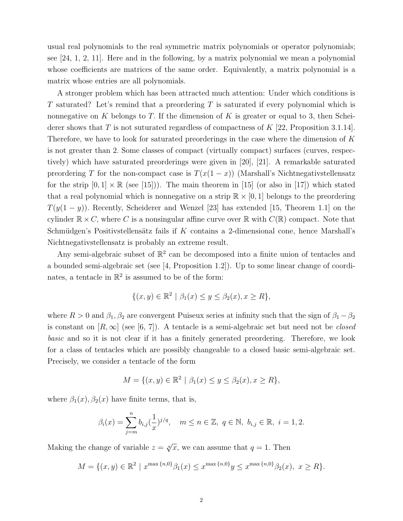usual real polynomials to the real symmetric matrix polynomials or operator polynomials; see [24, 1, 2, 11]. Here and in the following, by a matrix polynomial we mean a polynomial whose coefficients are matrices of the same order. Equivalently, a matrix polynomial is a matrix whose entries are all polynomials.

A stronger problem which has been attracted much attention: Under which conditions is T saturated? Let's remind that a preordering  $T$  is saturated if every polynomial which is nonnegative on K belongs to T. If the dimension of K is greater or equal to 3, then Scheiderer shows that T is not suturated regardless of compactness of  $K$  [22, Proposition 3.1.14]. Therefore, we have to look for saturated preorderings in the case where the dimension of K is not greater than 2. Some classes of compact (virtually compact) surfaces (curves, respectively) which have saturated preorderings were given in [20], [21]. A remarkable saturated preordering T for the non-compact case is  $T(x(1-x))$  (Marshall's Nichtnegativstellensatz for the strip  $[0,1] \times \mathbb{R}$  (see [15]). The main theorem in [15] (or also in [17]) which stated that a real polynomial which is nonnegative on a strip  $\mathbb{R} \times [0, 1]$  belongs to the preordering  $T(y(1-y))$ . Recently, Scheiderer and Wenzel [23] has extended [15, Theorem 1.1] on the cylinder  $\mathbb{R} \times C$ , where C is a nonsingular affine curve over  $\mathbb{R}$  with  $C(\mathbb{R})$  compact. Note that Schmüdgen's Positivstellensätz fails if  $K$  contains a 2-dimensional cone, hence Marshall's Nichtnegativstellensatz is probably an extreme result.

Any semi-algebraic subset of  $\mathbb{R}^2$  can be decomposed into a finite union of tentacles and a bounded semi-algebraic set (see [4, Proposition 1.2]). Up to some linear change of coordinates, a tentacle in  $\mathbb{R}^2$  is assumed to be of the form:

$$
\{(x,y)\in\mathbb{R}^2 \mid \beta_1(x)\leq y\leq \beta_2(x), x\geq R\},\
$$

where  $R > 0$  and  $\beta_1, \beta_2$  are convergent Puiseux series at infinity such that the sign of  $\beta_1 - \beta_2$ is constant on  $[R,\infty]$  (see [6, 7]). A tentacle is a semi-algebraic set but need not be *closed* basic and so it is not clear if it has a finitely generated preordering. Therefore, we look for a class of tentacles which are possibly changeable to a closed basic semi-algebraic set. Precisely, we consider a tentacle of the form

$$
M = \{(x, y) \in \mathbb{R}^2 \mid \beta_1(x) \le y \le \beta_2(x), x \ge R\},\
$$

where  $\beta_1(x)$ ,  $\beta_2(x)$  have finite terms, that is,

$$
\beta_i(x) = \sum_{j=m}^n b_{i,j} (\frac{1}{x})^{j/q}, \quad m \le n \in \mathbb{Z}, \ q \in \mathbb{N}, \ b_{i,j} \in \mathbb{R}, \ i = 1, 2.
$$

Making the change of variable  $z = \sqrt[q]{x}$ , we can assume that  $q = 1$ . Then

$$
M = \{(x, y) \in \mathbb{R}^2 \mid x^{\max\{n, 0\}} \beta_1(x) \le x^{\max\{n, 0\}} y \le x^{\max\{n, 0\}} \beta_2(x), \ x \ge R\}.
$$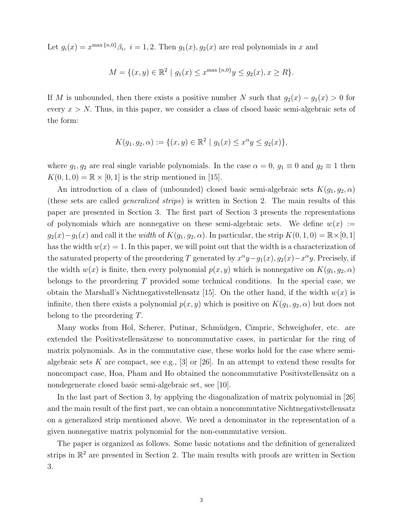Let  $g_i(x) = x^{\max\{n,0\}}\beta_i$ ,  $i = 1, 2$ . Then  $g_1(x), g_2(x)$  are real polynomials in x and

$$
M = \{(x, y) \in \mathbb{R}^2 \mid g_1(x) \le x^{\max\{n, 0\}} y \le g_2(x), x \ge R\}.
$$

If M is unbounded, then there exists a positive number N such that  $g_2(x) - g_1(x) > 0$  for every  $x > N$ . Thus, in this paper, we consider a class of clsoed basic semi-algebraic sets of the form:

$$
K(g_1, g_2, \alpha) := \{ (x, y) \in \mathbb{R}^2 \mid g_1(x) \le x^{\alpha} y \le g_2(x) \},
$$

where  $g_1, g_2$  are real single variable polynomials. In the case  $\alpha = 0, g_1 \equiv 0$  and  $g_2 \equiv 1$  then  $K(0, 1, 0) = \mathbb{R} \times [0, 1]$  is the strip mentioned in [15].

An introduction of a class of (unbounded) closed basic semi-algebraic sets  $K(g_1, g_2, \alpha)$ (these sets are called generalized strips) is written in Section 2. The main results of this paper are presented in Section 3. The first part of Section 3 presents the representations of polynomials which are nonnegative on these semi-algebraic sets. We define  $w(x) :=$  $g_2(x)-g_1(x)$  and call it the *width* of  $K(g_1, g_2, \alpha)$ . In particular, the strip  $K(0, 1, 0) = \mathbb{R} \times [0, 1]$ has the width  $w(x) = 1$ . In this paper, we will point out that the width is a characterization of the saturated property of the preordering T generated by  $x^{\alpha}y - g_1(x)$ ,  $g_2(x) - x^{\alpha}y$ . Precisely, if the width  $w(x)$  is finite, then every polynomial  $p(x, y)$  which is nonnegative on  $K(g_1, g_2, \alpha)$ belongs to the preordering  $T$  provided some technical conditions. In the special case, we obtain the Marshall's Nichtnegativstellensatz [15]. On the other hand, if the width  $w(x)$  is infinite, then there exists a polynomial  $p(x, y)$  which is positive on  $K(g_1, g_2, \alpha)$  but does not belong to the preordering T.

Many works from Hol, Scherer, Putinar, Schmüdgen, Cimpric, Schweighofer, etc. are extended the Positivstellens at zero noncommutative cases, in particular for the ring of matrix polynomials. As in the commutative case, these works hold for the case where semialgebraic sets K are compact, see e.g., [3] or [26]. In an attempt to extend these results for noncompact case, Hoa, Pham and Ho obtained the noncommutative Positivstellensätz on a nondegenerate closed basic semi-algebraic set, see [10].

In the last part of Section 3, by applying the diagonalization of matrix polynomial in [26] and the main result of the first part, we can obtain a noncommutative Nichtnegativstellensatz on a generalized strip mentioned above. We need a denominator in the representation of a given nonnegative matrix polynomial for the non-commutative version.

The paper is organized as follows. Some basic notations and the definition of generalized strips in  $\mathbb{R}^2$  are presented in Section 2. The main results with proofs are written in Section 3.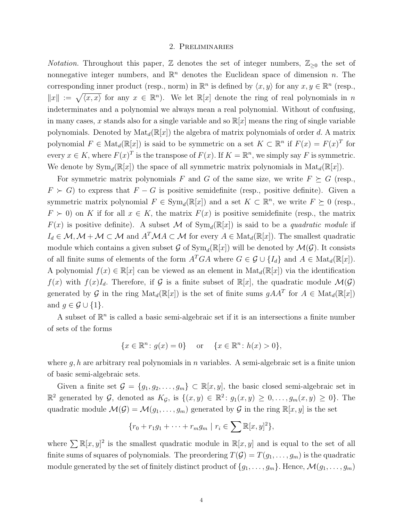# 2. Preliminaries

*Notation.* Throughout this paper,  $\mathbb{Z}$  denotes the set of integer numbers,  $\mathbb{Z}_{\geq 0}$  the set of nonnegative integer numbers, and  $\mathbb{R}^n$  denotes the Euclidean space of dimension n. The corresponding inner product (resp., norm) in  $\mathbb{R}^n$  is defined by  $\langle x, y \rangle$  for any  $x, y \in \mathbb{R}^n$  (resp.,  $||x|| := \sqrt{\langle x, x \rangle}$  for any  $x \in \mathbb{R}^n$ . We let  $\mathbb{R}[x]$  denote the ring of real polynomials in n indeterminates and a polynomial we always mean a real polynomial. Without of confusing, in many cases, x stands also for a single variable and so  $\mathbb{R}[x]$  means the ring of single variable polynomials. Denoted by  $\text{Mat}_{d}(\mathbb{R}[x])$  the algebra of matrix polynomials of order d. A matrix polynomial  $F \in Mat_d(\mathbb{R}[x])$  is said to be symmetric on a set  $K \subset \mathbb{R}^n$  if  $F(x) = F(x)^T$  for every  $x \in K$ , where  $F(x)^T$  is the transpose of  $F(x)$ . If  $K = \mathbb{R}^n$ , we simply say F is symmetric. We denote by  $Sym_d(\mathbb{R}[x])$  the space of all symmetric matrix polynomials in  $Mat_d(\mathbb{R}[x])$ .

For symmetric matrix polynomials F and G of the same size, we write  $F \succeq G$  (resp.,  $F \succ G$ ) to express that  $F - G$  is positive semidefinite (resp., positive definite). Given a symmetric matrix polynomial  $F \in \text{Sym}_d(\mathbb{R}[x])$  and a set  $K \subset \mathbb{R}^n$ , we write  $F \succeq 0$  (resp.,  $F \succ 0$ ) on K if for all  $x \in K$ , the matrix  $F(x)$  is positive semidefinite (resp., the matrix  $F(x)$  is positive definite). A subset M of  $Sym_d(\mathbb{R}[x])$  is said to be a *quadratic module* if  $I_d \in \mathcal{M}, \mathcal{M} + \mathcal{M} \subset \mathcal{M}$  and  $A^T \mathcal{M} A \subset \mathcal{M}$  for every  $A \in Mat_d(\mathbb{R}[x])$ . The smallest quadratic module which contains a given subset  $\mathcal G$  of  $\text{Sym}_d(\mathbb{R}[x])$  will be denoted by  $\mathcal M(\mathcal G)$ . It consists of all finite sums of elements of the form  $A^TGA$  where  $G \in \mathcal{G} \cup \{I_d\}$  and  $A \in Mat_d(\mathbb{R}[x])$ . A polynomial  $f(x) \in \mathbb{R}[x]$  can be viewed as an element in  $\text{Mat}_{d}(\mathbb{R}[x])$  via the identification  $f(x)$  with  $f(x)I<sub>d</sub>$ . Therefore, if G is a finite subset of  $\mathbb{R}[x]$ , the quadratic module  $\mathcal{M}(\mathcal{G})$ generated by G in the ring  $\text{Mat}_{d}(\mathbb{R}[x])$  is the set of finite sums  $gAA^T$  for  $A \in \text{Mat}_{d}(\mathbb{R}[x])$ and  $g \in \mathcal{G} \cup \{1\}.$ 

A subset of  $\mathbb{R}^n$  is called a basic semi-algebraic set if it is an intersections a finite number of sets of the forms

$$
\{x \in \mathbb{R}^n \colon g(x) = 0\} \quad \text{or} \quad \{x \in \mathbb{R}^n \colon h(x) > 0\},
$$

where  $q, h$  are arbitrary real polynomials in n variables. A semi-algebraic set is a finite union of basic semi-algebraic sets.

Given a finite set  $\mathcal{G} = \{g_1, g_2, \ldots, g_m\} \subset \mathbb{R}[x, y]$ , the basic closed semi-algebraic set in  $\mathbb{R}^2$  generated by G, denoted as  $K_{\mathcal{G}}$ , is  $\{(x,y) \in \mathbb{R}^2 \colon g_1(x,y) \geq 0, \ldots, g_m(x,y) \geq 0\}$ . The quadratic module  $\mathcal{M}(\mathcal{G}) = \mathcal{M}(g_1, \ldots, g_m)$  generated by  $\mathcal{G}$  in the ring  $\mathbb{R}[x, y]$  is the set

$$
\{r_0 + r_1g_1 + \dots + r_mg_m \mid r_i \in \sum \mathbb{R}[x, y]^2\},\
$$

where  $\sum \mathbb{R}[x, y]^2$  is the smallest quadratic module in  $\mathbb{R}[x, y]$  and is equal to the set of all finite sums of squares of polynomials. The preordering  $T(\mathcal{G}) = T(g_1, \ldots, g_m)$  is the quadratic module generated by the set of finitely distinct product of  $\{g_1, \ldots, g_m\}$ . Hence,  $\mathcal{M}(g_1, \ldots, g_m)$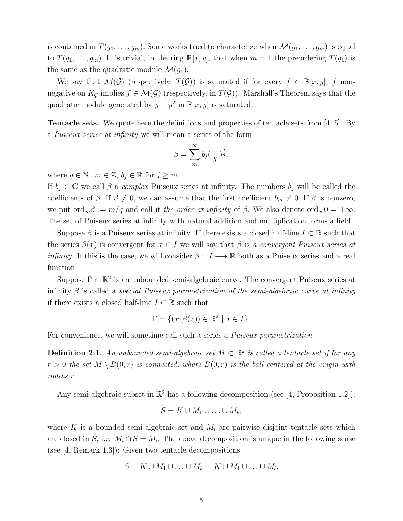is contained in  $T(g_1, \ldots, g_m)$ . Some works tried to characterize when  $\mathcal{M}(g_1, \ldots, g_m)$  is equal to  $T(g_1, \ldots, g_m)$ . It is trivial, in the ring  $\mathbb{R}[x, y]$ , that when  $m = 1$  the preordering  $T(g_1)$  is the same as the quadratic module  $\mathcal{M}(g_1)$ .

We say that  $\mathcal{M}(\mathcal{G})$  (respectively,  $T(\mathcal{G})$ ) is saturated if for every  $f \in \mathbb{R}[x, y]$ , f nonnegative on  $K_{\mathcal{G}}$  implies  $f \in \mathcal{M}(\mathcal{G})$  (respectively, in  $T(\mathcal{G})$ ). Marshall's Theorem says that the quadratic module generated by  $y - y^2$  in  $\mathbb{R}[x, y]$  is saturated.

Tentacle sets. We quote here the definitions and properties of tentacle sets from [4, 5]. By a Puiseux series at infinity we will mean a series of the form

$$
\beta = \sum_{m}^{\infty} b_j \left(\frac{1}{X}\right)^{\frac{j}{q}},
$$

where  $q \in \mathbb{N}$ ,  $m \in \mathbb{Z}$ ,  $b_j \in \mathbb{R}$  for  $j \geq m$ .

If  $b_i \in \mathbb{C}$  we call  $\beta$  a *complex* Puiseux series at infinity. The numbers  $b_i$  will be called the coefficients of  $\beta$ . If  $\beta \neq 0$ , we can assume that the first coefficient  $b_m \neq 0$ . If  $\beta$  is nonzero, we put ord<sub>∞</sub> $\beta := m/q$  and call it the order at infinity of  $\beta$ . We also denote ord<sub>∞</sub> $0 = +\infty$ . The set of Puiseux series at infinity with natural addition and multiplication forms a field.

Suppose  $\beta$  is a Puiseux series at infinity. If there exists a closed half-line  $I \subset \mathbb{R}$  such that the series  $\beta(x)$  is convergent for  $x \in I$  we will say that  $\beta$  is a convergent Puiseux series at *infinity*. If this is the case, we will consider  $\beta: I \longrightarrow \mathbb{R}$  both as a Puiseux series and a real function.

Suppose  $\Gamma \subset \mathbb{R}^2$  is an unbounded semi-algebraic curve. The convergent Puiseux series at infinity  $\beta$  is called a *special Puiseux parametrization of the semi-algebraic curve at infinity* if there exists a closed half-line  $I \subset \mathbb{R}$  such that

$$
\Gamma = \{ (x, \beta(x)) \in \mathbb{R}^2 \mid x \in I \}.
$$

For convenience, we will sometime call such a series a Puiseux parametrization.

**Definition 2.1.** An unbounded semi-algebraic set  $M \subset \mathbb{R}^2$  is called a tentacle set if for any  $r > 0$  the set  $M \setminus B(0,r)$  is connected, where  $B(0,r)$  is the ball centered at the origin with radius r.

Any semi-algebraic subset in  $\mathbb{R}^2$  has a following decomposition (see [4, Proposition 1.2]):

$$
S = K \cup M_1 \cup \ldots \cup M_k,
$$

where K is a bounded semi-algebraic set and  $M_i$  are pairwise disjoint tentacle sets which are closed in S, i.e.  $M_i \cap S = M_i$ . The above decomposition is unique in the following sense (see [4, Remark 1.3]): Given two tentacle decompositions

$$
S = K \cup M_1 \cup \ldots \cup M_k = \tilde{K} \cup \tilde{M}_1 \cup \ldots \cup \tilde{M}_l,
$$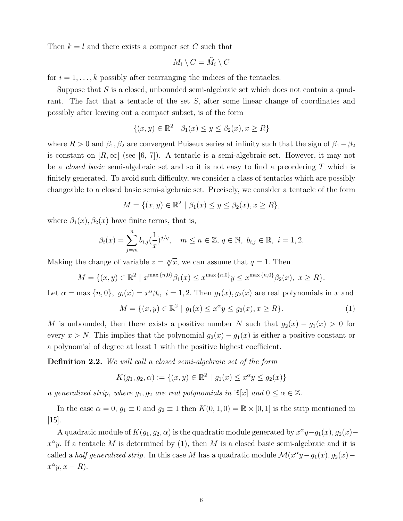Then  $k = l$  and there exists a compact set C such that

$$
M_i \setminus C = \tilde{M}_i \setminus C
$$

for  $i = 1, \ldots, k$  possibly after rearranging the indices of the tentacles.

Suppose that  $S$  is a closed, unbounded semi-algebraic set which does not contain a quadrant. The fact that a tentacle of the set S, after some linear change of coordinates and possibly after leaving out a compact subset, is of the form

$$
\{(x,y) \in \mathbb{R}^2 \mid \beta_1(x) \le y \le \beta_2(x), x \ge R\}
$$

where  $R > 0$  and  $\beta_1, \beta_2$  are convergent Puiseux series at infinity such that the sign of  $\beta_1 - \beta_2$ is constant on  $[R,\infty]$  (see [6, 7]). A tentacle is a semi-algebraic set. However, it may not be a *closed basic* semi-algebraic set and so it is not easy to find a preordering  $T$  which is finitely generated. To avoid such difficulty, we consider a class of tentacles which are possibly changeable to a closed basic semi-algebraic set. Precisely, we consider a tentacle of the form

$$
M = \{(x, y) \in \mathbb{R}^2 \mid \beta_1(x) \le y \le \beta_2(x), x \ge R\},\
$$

where  $\beta_1(x)$ ,  $\beta_2(x)$  have finite terms, that is,

$$
\beta_i(x) = \sum_{j=m}^n b_{i,j} (\frac{1}{x})^{j/q}, \quad m \le n \in \mathbb{Z}, \, q \in \mathbb{N}, \, b_{i,j} \in \mathbb{R}, \, i = 1, 2.
$$

Making the change of variable  $z = \sqrt[q]{x}$ , we can assume that  $q = 1$ . Then

$$
M = \{(x, y) \in \mathbb{R}^2 \mid x^{\max\{n, 0\}} \beta_1(x) \le x^{\max\{n, 0\}} y \le x^{\max\{n, 0\}} \beta_2(x), \ x \ge R\}.
$$

Let  $\alpha = \max\{n, 0\}$ ,  $g_i(x) = x^{\alpha}\beta_i$ ,  $i = 1, 2$ . Then  $g_1(x), g_2(x)$  are real polynomials in x and

$$
M = \{(x, y) \in \mathbb{R}^2 \mid g_1(x) \le x^{\alpha} y \le g_2(x), x \ge R\}.
$$
 (1)

M is unbounded, then there exists a positive number N such that  $g_2(x) - g_1(x) > 0$  for every  $x > N$ . This implies that the polynomial  $g_2(x) - g_1(x)$  is either a positive constant or a polynomial of degree at least 1 with the positive highest coefficient.

Definition 2.2. We will call a closed semi-algebraic set of the form

$$
K(g_1, g_2, \alpha) := \{(x, y) \in \mathbb{R}^2 \mid g_1(x) \le x^{\alpha} y \le g_2(x)\}\
$$

a generalized strip, where  $g_1, g_2$  are real polynomials in  $\mathbb{R}[x]$  and  $0 \le \alpha \in \mathbb{Z}$ .

In the case  $\alpha = 0$ ,  $g_1 \equiv 0$  and  $g_2 \equiv 1$  then  $K(0, 1, 0) = \mathbb{R} \times [0, 1]$  is the strip mentioned in [15].

A quadratic module of  $K(g_1, g_2, \alpha)$  is the quadratic module generated by  $x^{\alpha}y-g_1(x), g_2(x)$  –  $x^{\alpha}y$ . If a tentacle M is determined by (1), then M is a closed basic semi-algebraic and it is called a *half generalized strip*. In this case M has a quadratic module  $\mathcal{M}(x^{\alpha}y - g_1(x), g_2(x)$  $x^{\alpha}y, x - R$ ).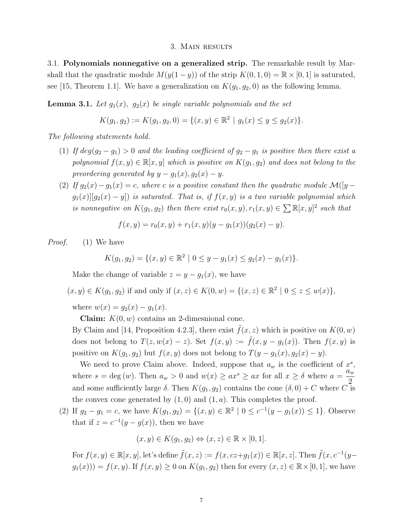### 3. Main results

3.1. Polynomials nonnegative on a generalized strip. The remarkable result by Marshall that the quadratic module  $M(y(1-y))$  of the strip  $K(0,1,0) = \mathbb{R} \times [0,1]$  is saturated, see [15, Theorem 1.1]. We have a generalization on  $K(g_1, g_2, 0)$  as the following lemma.

**Lemma 3.1.** Let  $g_1(x)$ ,  $g_2(x)$  be single variable polynomials and the set

$$
K(g_1, g_2) := K(g_1, g_2, 0) = \{(x, y) \in \mathbb{R}^2 \mid g_1(x) \le y \le g_2(x)\}.
$$

The following statements hold.

- (1) If  $deg(g_2 g_1) > 0$  and the leading coefficient of  $g_2 g_1$  is positive then there exist a polynomial  $f(x, y) \in \mathbb{R}[x, y]$  which is positive on  $K(g_1, g_2)$  and does not belong to the preordering generated by  $y - g_1(x), g_2(x) - y$ .
- (2) If  $g_2(x) g_1(x) = c$ , where c is a positive constant then the quadratic module  $\mathcal{M}([y$  $g_1(x)[g_2(x) - y]$  is saturated. That is, if  $f(x, y)$  is a two variable polynomial which is nonnegative on  $K(g_1, g_2)$  then there exist  $r_0(x, y), r_1(x, y) \in \sum \mathbb{R}[x, y]^2$  such that

$$
f(x,y) = r_0(x,y) + r_1(x,y)(y - g_1(x))(g_2(x) - y).
$$

Proof. (1) We have

$$
K(g_1, g_2) = \{(x, y) \in \mathbb{R}^2 \mid 0 \le y - g_1(x) \le g_2(x) - g_1(x)\}.
$$

Make the change of variable  $z = y - g_1(x)$ , we have

$$
(x, y) \in K(g_1, g_2)
$$
 if and only if  $(x, z) \in K(0, w) = \{(x, z) \in \mathbb{R}^2 \mid 0 \le z \le w(x)\},$ 

where  $w(x) = g_2(x) - g_1(x)$ .

**Claim:**  $K(0, w)$  contains an 2-dimesnional cone.

By Claim and [14, Proposition 4.2.3], there exist  $f(x, z)$  which is positive on  $K(0, w)$ does not belong to  $T(z, w(x) - z)$ . Set  $f(x, y) := \tilde{f}(x, y - g_1(x))$ . Then  $f(x, y)$  is positive on  $K(g_1, g_2)$  but  $f(x, y)$  does not belong to  $T(y - g_1(x), g_2(x) - y)$ .

We need to prove Claim above. Indeed, suppose that  $a_w$  is the coefficient of  $x^s$ , where  $s = \deg(w)$ . Then  $a_w > 0$  and  $w(x) \geq ax^s \geq ax$  for all  $x \geq \delta$  where  $a = \frac{a_w}{2}$ 2 and some sufficiently large  $\delta$ . Then  $K(q_1, q_2)$  contains the cone  $(\delta, 0) + C$  where C is the convex cone generated by  $(1,0)$  and  $(1,a)$ . This completes the proof.

(2) If  $g_2 - g_1 = c$ , we have  $K(g_1, g_2) = \{(x, y) \in \mathbb{R}^2 \mid 0 \le c^{-1}(y - g_1(x)) \le 1\}$ . Observe that if  $z = c^{-1}(y - g(x))$ , then we have

$$
(x, y) \in K(g_1, g_2) \Leftrightarrow (x, z) \in \mathbb{R} \times [0, 1].
$$

For  $f(x, y) \in \mathbb{R}[x, y]$ , let's define  $\tilde{f}(x, z) := f(x, cz + g_1(x)) \in \mathbb{R}[x, z]$ . Then  $\tilde{f}(x, c^{-1}(y - z))$  $g_1(x)) = f(x, y)$ . If  $f(x, y) \ge 0$  on  $K(g_1, g_2)$  then for every  $(x, z) \in \mathbb{R} \times [0, 1]$ , we have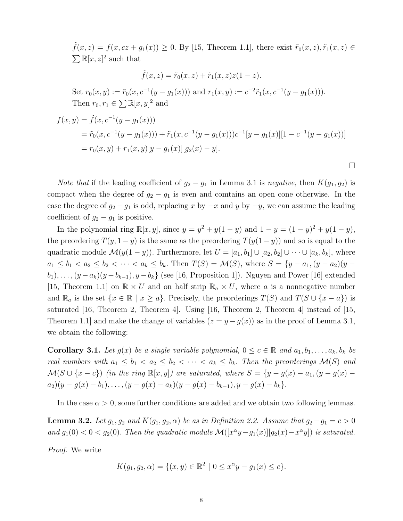$\tilde{f}(x, z) = f(x, cz + g_1(x)) \ge 0$ . By [15, Theorem 1.1], there exist  $\tilde{r}_0(x, z), \tilde{r}_1(x, z) \in$  $\sum \mathbb{R}[x, z]^2$  such that

$$
\tilde{f}(x, z) = \tilde{r}_0(x, z) + \tilde{r}_1(x, z)z(1 - z).
$$

Set  $r_0(x, y) := \tilde{r}_0(x, c^{-1}(y - g_1(x)))$  and  $r_1(x, y) := c^{-2} \tilde{r}_1(x, c^{-1}(y - g_1(x))).$ Then  $r_0, r_1 \in \sum \mathbb{R}[x, y]^2$  and

$$
f(x,y) = \tilde{f}(x, c^{-1}(y - g_1(x)))
$$
  
=  $\tilde{r}_0(x, c^{-1}(y - g_1(x))) + \tilde{r}_1(x, c^{-1}(y - g_1(x)))c^{-1}[y - g_1(x)][1 - c^{-1}(y - g_1(x))]$   
=  $r_0(x, y) + r_1(x, y)[y - g_1(x)][g_2(x) - y].$ 

 $\Box$ 

*Note that* if the leading coefficient of  $g_2 - g_1$  in Lemma 3.1 is negative, then  $K(g_1, g_2)$  is compact when the degree of  $g_2 - g_1$  is even and comtains an open cone otherwise. In the case the degree of  $g_2 - g_1$  is odd, replacing x by  $-x$  and y by  $-y$ , we can assume the leading coefficient of  $g_2 - g_1$  is positive.

In the polynomial ring  $\mathbb{R}[x, y]$ , since  $y = y^2 + y(1 - y)$  and  $1 - y = (1 - y)^2 + y(1 - y)$ , the preordering  $T(y, 1 - y)$  is the same as the preordering  $T(y(1 - y))$  and so is equal to the quadratic module  $\mathcal{M}(y(1-y))$ . Furthermore, let  $U = [a_1, b_1] \cup [a_2, b_2] \cup \cdots \cup [a_k, b_k]$ , where  $a_1 \le b_1 < a_2 \le b_2 < \cdots < a_k \le b_k$ . Then  $T(S) = \mathcal{M}(S)$ , where  $S = \{y - a_1, (y - a_2)(y - a_1)\}$  $(b_1), \ldots, (y - a_k)(y - b_{k-1}), y - b_k$  (see [16, Proposition 1]). Nguyen and Power [16] extended [15, Theorem 1.1] on  $\mathbb{R} \times U$  and on half strip  $\mathbb{R}_a \times U$ , where a is a nonnegative number and  $\mathbb{R}_a$  is the set  $\{x \in \mathbb{R} \mid x \ge a\}$ . Precisely, the preorderings  $T(S)$  and  $T(S \cup \{x - a\})$  is saturated [16, Theorem 2, Theorem 4]. Using [16, Theorem 2, Theorem 4] instead of [15, Theorem 1.1] and make the change of variables  $(z = y - g(x))$  as in the proof of Lemma 3.1, we obtain the following:

**Corollary 3.1.** Let  $g(x)$  be a single variable polynomial,  $0 \le c \in \mathbb{R}$  and  $a_1, b_1, \ldots, a_k, b_k$  be real numbers with  $a_1 \leq b_1 < a_2 \leq b_2 < \cdots < a_k \leq b_k$ . Then the preorderings  $\mathcal{M}(S)$  and  $\mathcal{M}(S \cup \{x-c\})$  (in the ring  $\mathbb{R}[x, y]$ ) are saturated, where  $S = \{y - g(x) - a_1, (y - g(x) - a_1)\}$  $a_2$ )(y – g(x) – b<sub>1</sub>),..., (y – g(x) – a<sub>k</sub>)(y – g(x) – b<sub>k–1</sub>), y – g(x) – b<sub>k</sub>}.

In the case  $\alpha > 0$ , some further conditions are added and we obtain two following lemmas.

**Lemma 3.2.** Let  $g_1, g_2$  and  $K(g_1, g_2, \alpha)$  be as in Definition 2.2. Assume that  $g_2-g_1 = c > 0$ and  $g_1(0) < 0 < g_2(0)$ . Then the quadratic module  $\mathcal{M}([x^{\alpha}y - g_1(x)][g_2(x) - x^{\alpha}y])$  is saturated.

Proof. We write

$$
K(g_1, g_2, \alpha) = \{ (x, y) \in \mathbb{R}^2 \mid 0 \le x^{\alpha}y - g_1(x) \le c \}.
$$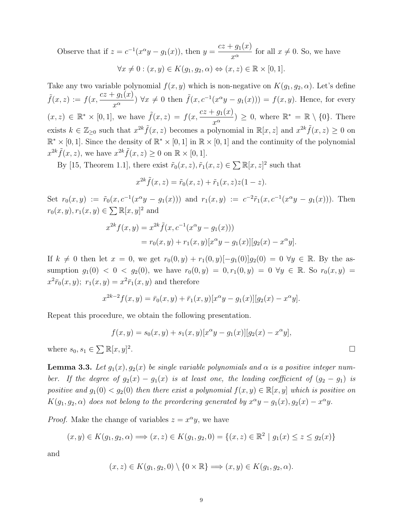Observe that if  $z = c^{-1}(x^{\alpha}y - g_1(x))$ , then  $y = \frac{cz + g_1(x)}{z^{\alpha}}$  $\frac{g_1(x)}{x^{\alpha}}$  for all  $x \neq 0$ . So, we have  $\forall x \neq 0 : (x, y) \in K(q_1, q_2, \alpha) \Leftrightarrow (x, z) \in \mathbb{R} \times [0, 1].$ 

Take any two variable polynomial  $f(x, y)$  which is non-negative on  $K(g_1, g_2, \alpha)$ . Let's define  $\tilde{f}(x, z) := f(x, \frac{cz + g_1(x)}{z})$  $\frac{f^2 g_1(x)}{x^{\alpha}}$   $\forall x \neq 0$  then  $\tilde{f}(x, c^{-1}(x^{\alpha}y - g_1(x))) = f(x, y)$ . Hence, for every  $(x, z) \in \mathbb{R}^* \times [0, 1],$  we have  $\tilde{f}(x, z) = f(x, \frac{cz + g_1(x)}{z})$  $(\frac{g_1(x)}{x^{\alpha}}) \geq 0$ , where  $\mathbb{R}^* = \mathbb{R} \setminus \{0\}$ . There exists  $k \in \mathbb{Z}_{\geq 0}$  such that  $x^{2k} \tilde{f}(x, z)$  becomes a polynomial in  $\mathbb{R}[x, z]$  and  $x^{2k} \tilde{f}(x, z) \geq 0$  on  $\mathbb{R}^* \times [0,1].$  Since the density of  $\mathbb{R}^* \times [0,1]$  in  $\mathbb{R} \times [0,1]$  and the continuity of the polynomial  $x^{2k} \tilde{f}(x, z)$ , we have  $x^{2k} \tilde{f}(x, z) \geq 0$  on  $\mathbb{R} \times [0, 1]$ .

By [15, Theorem 1.1], there exist  $\tilde{r}_0(x, z)$ ,  $\tilde{r}_1(x, z) \in \sum \mathbb{R}[x, z]^2$  such that

$$
x^{2k}\tilde{f}(x,z) = \tilde{r}_0(x,z) + \tilde{r}_1(x,z)z(1-z).
$$

Set  $r_0(x,y) := \tilde{r}_0(x, c^{-1}(x^{\alpha}y - g_1(x)))$  and  $r_1(x,y) := c^{-2}\tilde{r}_1(x, c^{-1}(x^{\alpha}y - g_1(x)))$ . Then  $r_0(x, y), r_1(x, y) \in \sum \mathbb{R}[x, y]^2$  and

$$
x^{2k} f(x, y) = x^{2k} \tilde{f}(x, c^{-1}(x^{\alpha}y - g_1(x)))
$$
  
=  $r_0(x, y) + r_1(x, y)[x^{\alpha}y - g_1(x)][g_2(x) - x^{\alpha}y].$ 

If  $k \neq 0$  then let  $x = 0$ , we get  $r_0(0, y) + r_1(0, y)[-g_1(0)]g_2(0) = 0 \ \forall y \in \mathbb{R}$ . By the assumption  $g_1(0) < 0 < g_2(0)$ , we have  $r_0(0, y) = 0, r_1(0, y) = 0 \ \forall y \in \mathbb{R}$ . So  $r_0(x, y) = 0$  $x^2 \bar{r}_0(x, y);$   $r_1(x, y) = x^2 \bar{r}_1(x, y)$  and therefore

$$
x^{2k-2}f(x,y) = \bar{r}_0(x,y) + \bar{r}_1(x,y)[x^{\alpha}y - g_1(x)][g_2(x) - x^{\alpha}y].
$$

Repeat this procedure, we obtain the following presentation.

$$
f(x, y) = s_0(x, y) + s_1(x, y)[x^{\alpha}y - g_1(x)][g_2(x) - x^{\alpha}y],
$$
  

$$
\in \sum \mathbb{R}[x, y]^2.
$$

where  $s_0, s_1$ 

**Lemma 3.3.** Let  $g_1(x), g_2(x)$  be single variable polynomials and  $\alpha$  is a positive integer number. If the degree of  $g_2(x) - g_1(x)$  is at least one, the leading coefficient of  $(g_2 - g_1)$  is positive and  $g_1(0) < g_2(0)$  then there exist a polynomial  $f(x, y) \in \mathbb{R}[x, y]$  which is positive on  $K(g_1, g_2, \alpha)$  does not belong to the preordering generated by  $x^{\alpha}y - g_1(x), g_2(x) - x^{\alpha}y$ .

*Proof.* Make the change of variables  $z = x^{\alpha}y$ , we have

$$
(x, y) \in K(g_1, g_2, \alpha) \Longrightarrow (x, z) \in K(g_1, g_2, 0) = \{(x, z) \in \mathbb{R}^2 \mid g_1(x) \le z \le g_2(x)\}
$$

and

$$
(x, z) \in K(g_1, g_2, 0) \setminus \{0 \times \mathbb{R}\} \Longrightarrow (x, y) \in K(g_1, g_2, \alpha).
$$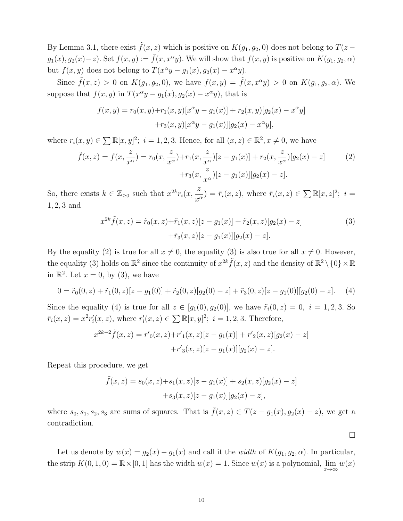By Lemma 3.1, there exist  $\tilde{f}(x, z)$  which is positive on  $K(q_1, q_2, 0)$  does not belong to  $T(z$  $g_1(x), g_2(x)-z$ . Set  $f(x, y) := \tilde{f}(x, x^{\alpha}y)$ . We will show that  $f(x, y)$  is positive on  $K(g_1, g_2, \alpha)$ but  $f(x, y)$  does not belong to  $T(x^{\alpha}y - g_1(x), g_2(x) - x^{\alpha}y)$ .

Since  $\tilde{f}(x, z) > 0$  on  $K(g_1, g_2, 0)$ , we have  $f(x, y) = \tilde{f}(x, x^{\alpha}y) > 0$  on  $K(g_1, g_2, \alpha)$ . We suppose that  $f(x, y)$  in  $T(x^{\alpha}y - g_1(x), g_2(x) - x^{\alpha}y)$ , that is

$$
f(x,y) = r_0(x,y) + r_1(x,y)[x^{\alpha}y - g_1(x)] + r_2(x,y)[g_2(x) - x^{\alpha}y]
$$

$$
+ r_3(x,y)[x^{\alpha}y - g_1(x)][g_2(x) - x^{\alpha}y],
$$

where  $r_i(x, y) \in \sum \mathbb{R}[x, y]^2$ ;  $i = 1, 2, 3$ . Hence, for all  $(x, z) \in \mathbb{R}^2$ ,  $x \neq 0$ , we have

$$
\tilde{f}(x,z) = f(x, \frac{z}{x^{\alpha}}) = r_0(x, \frac{z}{x^{\alpha}}) + r_1(x, \frac{z}{x^{\alpha}})[z - g_1(x)] + r_2(x, \frac{z}{x^{\alpha}})[g_2(x) - z]
$$
(2)  
+
$$
+ r_3(x, \frac{z}{x^{\alpha}})[z - g_1(x)][g_2(x) - z].
$$

So, there exists  $k \in \mathbb{Z}_{\geq 0}$  such that  $x^{2k} r_i(x,$ z  $\frac{z}{x^{\alpha}}$ ) =  $\tilde{r}_i(x, z)$ , where  $\tilde{r}_i(x, z) \in \sum \mathbb{R}[x, z]^2$ ;  $i =$ 1, 2, 3 and

$$
x^{2k}\tilde{f}(x,z) = \tilde{r}_0(x,z) + \tilde{r}_1(x,z)[z - g_1(x)] + \tilde{r}_2(x,z)[g_2(x) - z]
$$
  
 
$$
+ \tilde{r}_3(x,z)[z - g_1(x)][g_2(x) - z].
$$
 (3)

By the equality (2) is true for all  $x \neq 0$ , the equality (3) is also true for all  $x \neq 0$ . However, the equality (3) holds on  $\mathbb{R}^2$  since the continuity of  $x^{2k} \tilde{f}(x, z)$  and the density of  $\mathbb{R}^2 \setminus \{0\} \times \mathbb{R}$ in  $\mathbb{R}^2$ . Let  $x = 0$ , by (3), we have

$$
0 = \tilde{r}_0(0, z) + \tilde{r}_1(0, z)[z - g_1(0)] + \tilde{r}_2(0, z)[g_2(0) - z] + \tilde{r}_3(0, z)[z - g_1(0)][g_2(0) - z]. \tag{4}
$$

Since the equality (4) is true for all  $z \in [g_1(0), g_2(0)]$ , we have  $\tilde{r}_i(0, z) = 0$ ,  $i = 1, 2, 3$ . So  $\tilde{r}_i(x, z) = x^2 r'_i(x, z)$ , where  $r'_i(x, z) \in \sum \mathbb{R}[x, y]^2$ ;  $i = 1, 2, 3$ . Therefore,

$$
x^{2k-2} \tilde{f}(x, z) = r'_{0}(x, z) + r'_{1}(x, z)[z - g_{1}(x)] + r'_{2}(x, z)[g_{2}(x) - z] + r'_{3}(x, z)[z - g_{1}(x)][g_{2}(x) - z].
$$

Repeat this procedure, we get

$$
\tilde{f}(x, z) = s_0(x, z) + s_1(x, z)[z - g_1(x)] + s_2(x, z)[g_2(x) - z] + s_3(x, z)[z - g_1(x)][g_2(x) - z],
$$

where  $s_0, s_1, s_2, s_3$  are sums of squares. That is  $\tilde{f}(x, z) \in T(z - g_1(x), g_2(x) - z)$ , we get a contradiction.

 $\Box$ 

Let us denote by  $w(x) = g_2(x) - g_1(x)$  and call it the *width* of  $K(g_1, g_2, \alpha)$ . In particular, the strip  $K(0, 1, 0) = \mathbb{R} \times [0, 1]$  has the width  $w(x) = 1$ . Since  $w(x)$  is a polynomial,  $\lim_{x \to \infty} w(x)$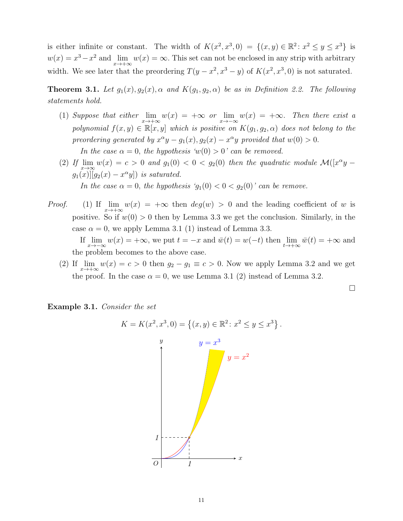is either infinite or constant. The width of  $K(x^2, x^3, 0) = \{(x, y) \in \mathbb{R}^2 : x^2 \le y \le x^3\}$  is  $w(x) = x^3 - x^2$  and  $\lim_{x \to +\infty} w(x) = \infty$ . This set can not be enclosed in any strip with arbitrary width. We see later that the preordering  $T(y - x^2, x^3 - y)$  of  $K(x^2, x^3, 0)$  is not saturated.

**Theorem 3.1.** Let  $g_1(x), g_2(x), \alpha$  and  $K(g_1, g_2, \alpha)$  be as in Definition 2.2. The following statements hold.

- (1) Suppose that either  $\lim_{x \to +\infty} w(x) = +\infty$  or  $\lim_{x \to -\infty} w(x) = +\infty$ . Then there exist a polynomial  $f(x, y) \in \mathbb{R}[x, y]$  which is positive on  $K(g_1, g_2, \alpha)$  does not belong to the preordering generated by  $x^{\alpha}y - g_1(x), g_2(x) - x^{\alpha}y$  provided that  $w(0) > 0$ . In the case  $\alpha = 0$ , the hypothesis ' $w(0) > 0$ ' can be removed.
- (2) If  $\lim_{x\to\infty} w(x) = c > 0$  and  $g_1(0) < 0 < g_2(0)$  then the quadratic module  $\mathcal{M}([x^{\alpha}y$  $g_1(x)][g_2(x) - x^{\alpha}y]$  is saturated. In the case  $\alpha = 0$ , the hypothesis ' $g_1(0) < 0 < g_2(0)$ ' can be remove.
- *Proof.* (1) If  $\lim_{x\to+\infty}w(x) = +\infty$  then  $deg(w) > 0$  and the leading coefficient of w is positive. So if  $w(0) > 0$  then by Lemma 3.3 we get the conclusion. Similarly, in the case  $\alpha = 0$ , we apply Lemma 3.1 (1) instead of Lemma 3.3.

If  $\lim_{x \to -\infty} w(x) = +\infty$ , we put  $t = -x$  and  $\overline{w}(t) = w(-t)$  then  $\lim_{t \to +\infty} \overline{w}(t) = +\infty$  and the problem becomes to the above case.

(2) If  $\lim_{x \to +\infty} w(x) = c > 0$  then  $g_2 - g_1 \equiv c > 0$ . Now we apply Lemma 3.2 and we get the proof. In the case  $\alpha = 0$ , we use Lemma 3.1 (2) instead of Lemma 3.2.

 $\Box$ 

Example 3.1. Consider the set

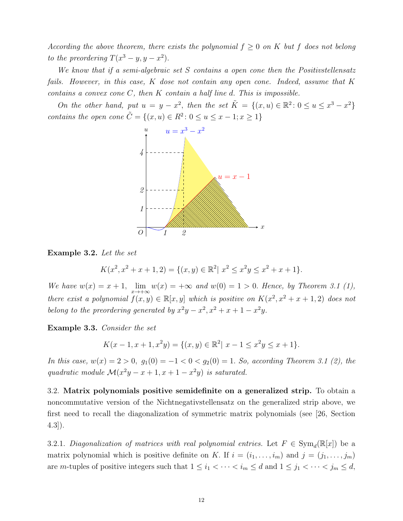According the above theorem, there exists the polynomial  $f \geq 0$  on K but f does not belong to the preordering  $T(x^3 - y, y - x^2)$ .

We know that if a semi-algebraic set S contains a open cone then the Positivstellensatz fails. However, in this case, K dose not contain any open cone. Indeed, assume that K contains a convex cone  $C$ , then  $K$  contain a half line  $d$ . This is impossible.

On the other hand, put  $u = y - x^2$ , then the set  $\tilde{K} = \{(x, u) \in \mathbb{R}^2 : 0 \le u \le x^3 - x^2\}$ contains the open cone  $\tilde{C} = \{(x, u) \in R^2 : 0 \le u \le x - 1; x \ge 1\}$ 



Example 3.2. Let the set

$$
K(x^2, x^2 + x + 1, 2) = \{(x, y) \in \mathbb{R}^2 \mid x^2 \le x^2y \le x^2 + x + 1\}.
$$

We have  $w(x) = x + 1$ ,  $\lim_{x \to +\infty} w(x) = +\infty$  and  $w(0) = 1 > 0$ . Hence, by Theorem 3.1 (1), there exist a polynomial  $f(x, y) \in \mathbb{R}[x, y]$  which is positive on  $K(x^2, x^2 + x + 1, 2)$  does not belong to the preordering generated by  $x^2y - x^2$ ,  $x^2 + x + 1 - x^2y$ .

Example 3.3. Consider the set

$$
K(x - 1, x + 1, x^{2}y) = \{(x, y) \in \mathbb{R}^{2} | x - 1 \le x^{2}y \le x + 1\}.
$$

In this case,  $w(x) = 2 > 0$ ,  $g_1(0) = -1 < 0 < g_2(0) = 1$ . So, according Theorem 3.1 (2), the quadratic module  $\mathcal{M}(x^2y - x + 1, x + 1 - x^2y)$  is saturated.

3.2. Matrix polynomials positive semidefinite on a generalized strip. To obtain a noncommutative version of the Nichtnegativstellensatz on the generalized strip above, we first need to recall the diagonalization of symmetric matrix polynomials (see [26, Section 4.3]).

3.2.1. Diagonalization of matrices with real polynomial entries. Let  $F \in Sym_d(\mathbb{R}[x])$  be a matrix polynomial which is positive definite on K. If  $i = (i_1, \ldots, i_m)$  and  $j = (j_1, \ldots, j_m)$ are m-tuples of positive integers such that  $1 \leq i_1 < \cdots < i_m \leq d$  and  $1 \leq j_1 < \cdots < j_m \leq d$ ,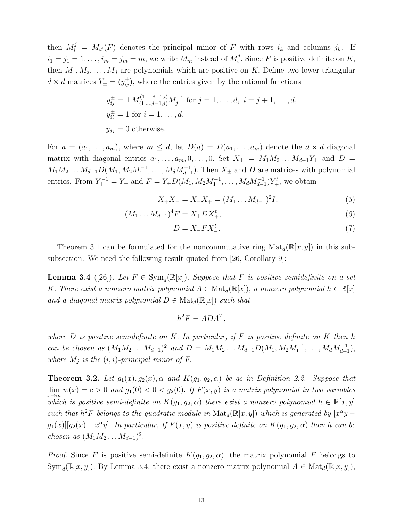then  $M_i^j = M_{i,j}(F)$  denotes the principal minor of F with rows  $i_k$  and columns  $j_k$ . If  $i_1 = j_1 = 1, \ldots, i_m = j_m = m$ , we write  $M_m$  instead of  $M_i^j$ <sup> $\int_i^j$ </sup>. Since F is positive definite on K, then  $M_1, M_2, \ldots, M_d$  are polynomials which are positive on K. Define two lower triangular  $d \times d$  matrices  $Y_{\pm} = (y_{ij}^{\pm})$ , where the entries given by the rational functions

$$
y_{ij}^{\pm} = \pm M_{(1,\dots,j-1,j)}^{(1,\dots,j-1,i)} M_j^{-1} \text{ for } j = 1,\dots,d, \ i = j+1,\dots,d,
$$
  

$$
y_{ii}^{\pm} = 1 \text{ for } i = 1,\dots,d,
$$
  

$$
y_{jj} = 0 \text{ otherwise.}
$$

For  $a = (a_1, \ldots, a_m)$ , where  $m \leq d$ , let  $D(a) = D(a_1, \ldots, a_m)$  denote the  $d \times d$  diagonal matrix with diagonal entries  $a_1, \ldots, a_m, 0, \ldots, 0$ . Set  $X_{\pm} = M_1 M_2 \ldots M_{d-1} Y_{\pm}$  and  $D =$  $M_1M_2...M_{d-1}D(M_1,M_2M_1^{-1},\ldots,M_dM_{d-1}^{-1})$ . Then  $X_{\pm}$  and D are matrices with polynomial entries. From  $Y_{+}^{-1} = Y_{-}$  and  $F = Y_{+}D(M_1, M_2M_1^{-1}, \ldots, M_dM_{d-1}^{-1})Y_{+}^{t}$ , we obtain

$$
X_{+}X_{-} = X_{-}X_{+} = (M_1 \dots M_{d-1})^2 I,
$$
\n<sup>(5)</sup>

$$
(M_1 \dots M_{d-1})^4 F = X_+ D X_+^t, \tag{6}
$$

$$
D = X_{-}FX_{-}^{t}.\tag{7}
$$

Theorem 3.1 can be formulated for the noncommutative ring  $\text{Mat}_{d}(\mathbb{R}[x, y])$  in this subsubsection. We need the following result quoted from [26, Corollary 9]:

**Lemma 3.4** ([26]). Let  $F \in Sym_d(\mathbb{R}[x])$ . Suppose that F is positive semidefinite on a set K. There exist a nonzero matrix polynomial  $A \in Mat_d(\mathbb{R}[x])$ , a nonzero polynomial  $h \in \mathbb{R}[x]$ and a diagonal matrix polynomial  $D \in Mat_{d}(\mathbb{R}[x])$  such that

$$
h^2 F = ADA^T,
$$

where  $D$  is positive semidefinite on  $K$ . In particular, if  $F$  is positive definite on  $K$  then h can be chosen as  $(M_1M_2...M_{d-1})^2$  and  $D = M_1M_2...M_{d-1}D(M_1,M_2M_1^{-1},...,M_dM_{d-1}^{-1}),$ where  $M_j$  is the  $(i, i)$ -principal minor of F.

**Theorem 3.2.** Let  $g_1(x), g_2(x), \alpha$  and  $K(g_1, g_2, \alpha)$  be as in Definition 2.2. Suppose that  $\lim_{x\to\infty} w(x) = c > 0$  and  $g_1(0) < 0 < g_2(0)$ . If  $F(x, y)$  is a matrix polynomial in two variables which is positive semi-definite on  $K(g_1, g_2, \alpha)$  there exist a nonzero polynomial  $h \in \mathbb{R}[x, y]$ such that  $h^2F$  belongs to the quadratic module in  $\text{Mat}_d(\mathbb{R}[x,y])$  which is generated by  $[x^{\alpha}y$  $g_1(x)$ [ $g_2(x) - x^{\alpha}y$ ]. In particular, If  $F(x, y)$  is positive definite on  $K(g_1, g_2, \alpha)$  then h can be *chosen as*  $(M_1M_2...M_{d-1})^2$ .

*Proof.* Since F is positive semi-definite  $K(g_1, g_2, \alpha)$ , the matrix polynomial F belongs to Sym<sub>d</sub>( $\mathbb{R}[x, y]$ ). By Lemma 3.4, there exist a nonzero matrix polynomial  $A \in Mat_d(\mathbb{R}[x, y])$ ,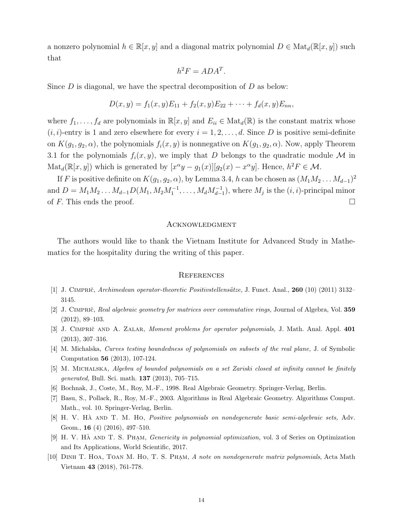a nonzero polynomial  $h \in \mathbb{R}[x, y]$  and a diagonal matrix polynomial  $D \in Mat_d(\mathbb{R}[x, y])$  such that

$$
h^2 F = ADA^T.
$$

Since  $D$  is diagonal, we have the spectral decomposition of  $D$  as below:

$$
D(x,y) = f_1(x,y)E_{11} + f_2(x,y)E_{22} + \cdots + f_d(x,y)E_{nn}
$$

where  $f_1, \ldots, f_d$  are polynomials in  $\mathbb{R}[x, y]$  and  $E_{ii} \in Mat_d(\mathbb{R})$  is the constant matrix whose  $(i, i)$ -entry is 1 and zero elsewhere for every  $i = 1, 2, \ldots, d$ . Since D is positive semi-definite on  $K(g_1, g_2, \alpha)$ , the polynomials  $f_i(x, y)$  is nonnegative on  $K(g_1, g_2, \alpha)$ . Now, apply Theorem 3.1 for the polynomials  $f_i(x, y)$ , we imply that D belongs to the quadratic module M in  $\text{Mat}_{d}(\mathbb{R}[x,y])$  which is generated by  $[x^{\alpha}y - g_{1}(x)][g_{2}(x) - x^{\alpha}y]$ . Hence,  $h^{2}F \in \mathcal{M}$ .

If F is positive definite on  $K(g_1, g_2, \alpha)$ , by Lemma 3.4, h can be chosen as  $(M_1M_2 \ldots M_{d-1})^2$ and  $D = M_1 M_2 \dots M_{d-1} D(M_1, M_2 M_1^{-1}, \dots, M_d M_{d-1}^{-1}),$  where  $M_j$  is the  $(i, i)$ -principal minor of F. This ends the proof.  $\Box$ 

# **ACKNOWLEDGMENT**

The authors would like to thank the Vietnam Institute for Advanced Study in Mathematics for the hospitality during the writing of this paper.

#### **REFERENCES**

- [1] J. Cimpriˇc, Archimedean operator-theoretic Positivstellens¨atze, J. Funct. Anal., 260 (10) (2011) 3132– 3145.
- [2] J. CIMPRIČ, Real algebraic geometry for matrices over commutative rings, Journal of Algebra, Vol. 359 (2012), 89–103.
- [3] J. CIMPRIČ AND A. ZALAR, Moment problems for operator polynomials, J. Math. Anal. Appl. 401 (2013), 307–316.
- [4] M. Michalska, Curves testing boundedness of polynomials on subsets of the real plane, J. of Symbolic Computation 56 (2013), 107-124.
- [5] M. MICHALSKA, Algebra of bounded polynomials on a set Zariski closed at infinity cannot be finitely generated, Bull. Sci. math. 137 (2013), 705–715.
- [6] Bochnak, J., Coste, M., Roy, M.-F., 1998. Real Algebraic Geometry. Springer-Verlag, Berlin.
- [7] Basu, S., Pollack, R., Roy, M.-F., 2003. Algorithms in Real Algebraic Geometry. Algorithms Comput. Math., vol. 10. Springer-Verlag, Berlin.
- [8] H. V. HA AND T. M. HO, *Positive polynomials on nondegenerate basic semi-algebraic sets*, Adv. Geom., 16 (4) (2016), 497–510.
- [9] H. V. HÀ AND T. S. PHAM, Genericity in polynomial optimization, vol. 3 of Series on Optimization and Its Applications, World Scientific, 2017.
- [10] DINH T. HOA, TOAN M. HO, T. S. PHAM, A note on nondegenerate matrix polynomials, Acta Math Vietnam 43 (2018), 761-778.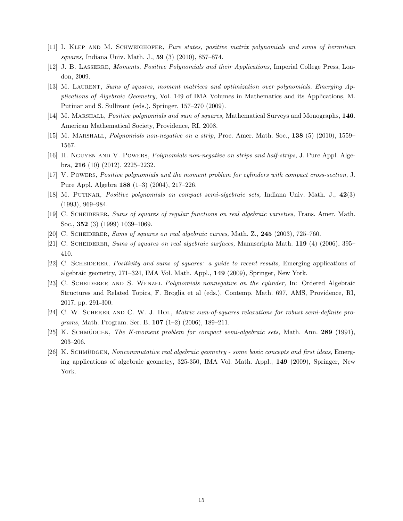- [11] I. Klep and M. Schweighofer, Pure states, positive matrix polynomials and sums of hermitian squares, Indiana Univ. Math. J., 59 (3) (2010), 857–874.
- [12] J. B. LASSERRE, Moments, Positive Polynomials and their Applications, Imperial College Press, London, 2009.
- [13] M. LAURENT, Sums of squares, moment matrices and optimization over polynomials. Emerging Applications of Algebraic Geometry, Vol. 149 of IMA Volumes in Mathematics and its Applications, M. Putinar and S. Sullivant (eds.), Springer, 157–270 (2009).
- [14] M. MARSHALL, *Positive polynomials and sum of squares*, Mathematical Surveys and Monographs, 146. American Mathematical Society, Providence, RI, 2008.
- [15] M. Marshall, Polynomials non-negative on a strip, Proc. Amer. Math. Soc., 138 (5) (2010), 1559– 1567.
- [16] H. NGUYEN AND V. POWERS, *Polynomials non-negative on strips and half-strips*, J. Pure Appl. Algebra, 216 (10) (2012), 2225–2232.
- [17] V. Powers, Positive polynomials and the moment problem for cylinders with compact cross-section, J. Pure Appl. Algebra 188 (1–3) (2004), 217–226.
- [18] M. PUTINAR, *Positive polynomials on compact semi-algebraic sets*, Indiana Univ. Math. J., 42(3) (1993), 969–984.
- [19] C. Scheiderer, Sums of squares of regular functions on real algebraic varieties, Trans. Amer. Math. Soc., 352 (3) (1999) 1039–1069.
- [20] C. Scheiderer, Sums of squares on real algebraic curves, Math. Z., 245 (2003), 725–760.
- [21] C. SCHEIDERER, Sums of squares on real algebraic surfaces, Manuscripta Math. 119 (4) (2006), 395– 410.
- [22] C. Scheiderer, Positivity and sums of squares: a guide to recent results, Emerging applications of algebraic geometry, 271–324, IMA Vol. Math. Appl., 149 (2009), Springer, New York.
- [23] C. SCHEIDERER AND S. WENZEL Polynomials nonnegative on the cylinder, In: Ordered Algebraic Structures and Related Topics, F. Broglia et al (eds.), Contemp. Math. 697, AMS, Providence, RI, 2017, pp. 291-300.
- [24] C. W. SCHERER AND C. W. J. HOL, Matrix sum-of-squares relaxations for robust semi-definite programs, Math. Program. Ser. B,  $107$  (1-2) (2006), 189-211.
- [25] K. SCHMÜDGEN, The K-moment problem for compact semi-algebraic sets, Math. Ann. 289 (1991), 203–206.
- [26] K. SCHMÜDGEN, Noncommutative real algebraic geometry some basic concepts and first ideas, Emerging applications of algebraic geometry, 325-350, IMA Vol. Math. Appl., 149 (2009), Springer, New York.